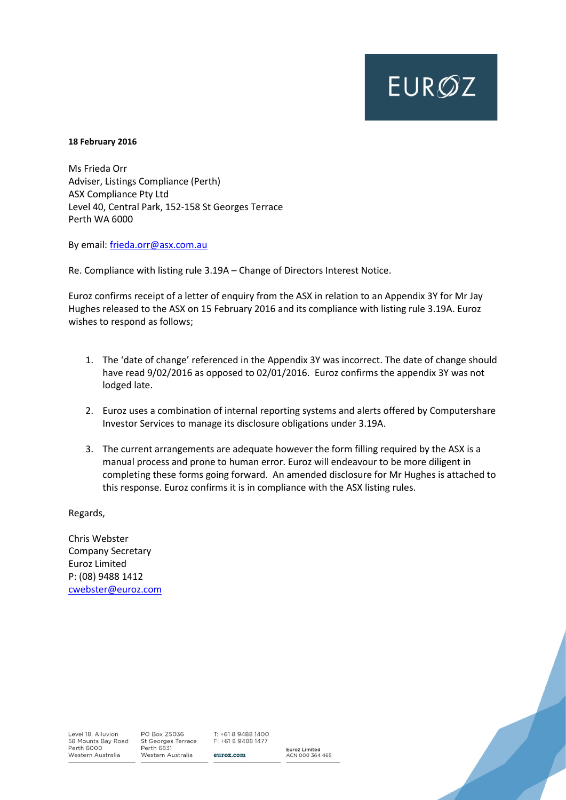# **EUROZ**

#### **18 February 2016**

Ms Frieda Orr Adviser, Listings Compliance (Perth) ASX Compliance Pty Ltd Level 40, Central Park, 152-158 St Georges Terrace Perth WA 6000

By email: [frieda.orr@asx.com.au](mailto:frieda.orr@asx.com.au) 

Re. Compliance with listing rule 3.19A – Change of Directors Interest Notice.

Euroz confirms receipt of a letter of enquiry from the ASX in relation to an Appendix 3Y for Mr Jay Hughes released to the ASX on 15 February 2016 and its compliance with listing rule 3.19A. Euroz wishes to respond as follows;

- 1. The 'date of change' referenced in the Appendix 3Y was incorrect. The date of change should have read 9/02/2016 as opposed to 02/01/2016. Euroz confirms the appendix 3Y was not lodged late.
- 2. Euroz uses a combination of internal reporting systems and alerts offered by Computershare Investor Services to manage its disclosure obligations under 3.19A.
- 3. The current arrangements are adequate however the form filling required by the ASX is a manual process and prone to human error. Euroz will endeavour to be more diligent in completing these forms going forward. An amended disclosure for Mr Hughes is attached to this response. Euroz confirms it is in compliance with the ASX listing rules.

Regards,

Chris Webster Company Secretary Euroz Limited P: (08) 9488 1412 [cwebster@euroz.com](mailto:cwebster@euroz.com)

Level 18, Alluvion 58 Mounts Bay Road Perth 6000 Western Australia

PO Box Z5036 St Georges Terrace Perth 6831 Western Australia

T: +61 8 9488 1400 F: +61 8 9488 1477 euroz.com

Euroz Limited<br>ACN 000 364 465

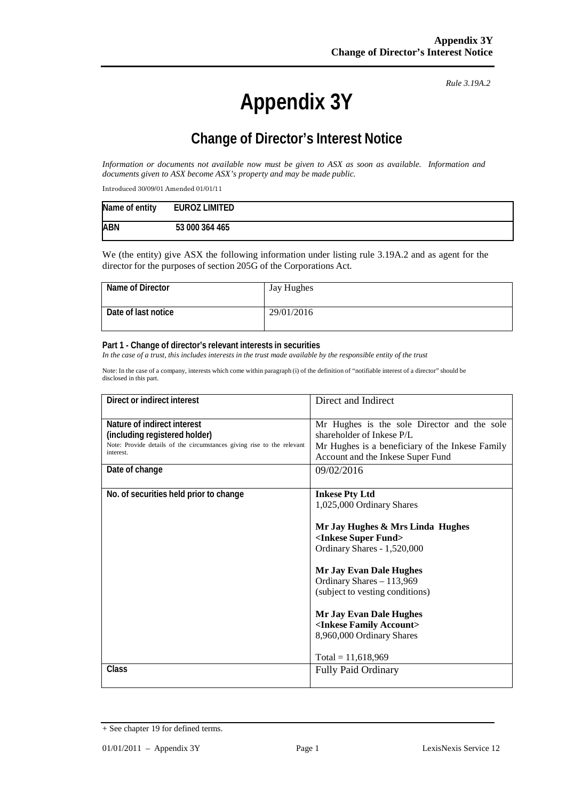## **Appendix 3Y**

*Rule 3.19A.2*

## **Change of Director's Interest Notice**

*Information or documents not available now must be given to ASX as soon as available. Information and documents given to ASX become ASX's property and may be made public.*

Introduced 30/09/01 Amended 01/01/11

| Name of entity | <b>EUROZ LIMITED</b> |
|----------------|----------------------|
| <b>ABN</b>     | 53 000 364 465       |

We (the entity) give ASX the following information under listing rule 3.19A.2 and as agent for the director for the purposes of section 205G of the Corporations Act.

| Name of Director    | Jay Hughes |
|---------------------|------------|
| Date of last notice | 29/01/2016 |

#### **Part 1 - Change of director's relevant interests in securities**

*In the case of a trust, this includes interests in the trust made available by the responsible entity of the trust*

Note: In the case of a company, interests which come within paragraph (i) of the definition of "notifiable interest of a director" should be disclosed in this part.

| Direct or indirect interest                                            | Direct and Indirect                                                    |  |
|------------------------------------------------------------------------|------------------------------------------------------------------------|--|
| Nature of indirect interest                                            | Mr Hughes is the sole Director and the sole                            |  |
| (including registered holder)                                          | shareholder of Inkese P/L                                              |  |
| Note: Provide details of the circumstances giving rise to the relevant | Mr Hughes is a beneficiary of the Inkese Family                        |  |
| interest.                                                              | Account and the Inkese Super Fund                                      |  |
| Date of change                                                         | 09/02/2016                                                             |  |
| No. of securities held prior to change                                 | <b>Inkese Pty Ltd</b>                                                  |  |
|                                                                        | 1,025,000 Ordinary Shares                                              |  |
|                                                                        | Mr Jay Hughes & Mrs Linda Hughes<br><inkese fund="" super=""></inkese> |  |
|                                                                        | Ordinary Shares - 1,520,000                                            |  |
|                                                                        | <b>Mr Jay Evan Dale Hughes</b>                                         |  |
|                                                                        | Ordinary Shares - 113,969                                              |  |
|                                                                        | (subject to vesting conditions)                                        |  |
|                                                                        | <b>Mr Jay Evan Dale Hughes</b>                                         |  |
|                                                                        | <inkese account="" family=""></inkese>                                 |  |
|                                                                        | 8,960,000 Ordinary Shares                                              |  |
|                                                                        | Total = $11,618,969$                                                   |  |
| Class                                                                  | <b>Fully Paid Ordinary</b>                                             |  |
|                                                                        |                                                                        |  |

<sup>+</sup> See chapter 19 for defined terms.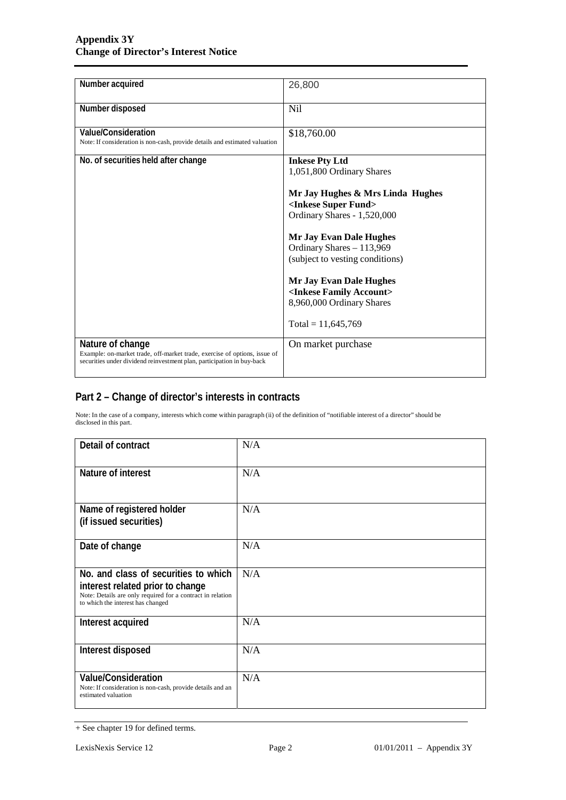| Number acquired                                                                                                                                                         | 26,800                                                                                                 |
|-------------------------------------------------------------------------------------------------------------------------------------------------------------------------|--------------------------------------------------------------------------------------------------------|
| Number disposed                                                                                                                                                         | <b>Nil</b>                                                                                             |
| <b>Value/Consideration</b><br>Note: If consideration is non-cash, provide details and estimated valuation                                                               | \$18,760.00                                                                                            |
| No. of securities held after change                                                                                                                                     | <b>Inkese Pty Ltd</b><br>1,051,800 Ordinary Shares                                                     |
|                                                                                                                                                                         | Mr Jay Hughes & Mrs Linda Hughes<br><inkese fund="" super=""><br/>Ordinary Shares - 1,520,000</inkese> |
|                                                                                                                                                                         | <b>Mr Jay Evan Dale Hughes</b><br>Ordinary Shares - 113,969<br>(subject to vesting conditions)         |
|                                                                                                                                                                         | <b>Mr Jay Evan Dale Hughes</b><br><inkese account="" family=""><br/>8,960,000 Ordinary Shares</inkese> |
|                                                                                                                                                                         | Total = $11,645,769$                                                                                   |
| Nature of change<br>Example: on-market trade, off-market trade, exercise of options, issue of<br>securities under dividend reinvestment plan, participation in buy-back | On market purchase                                                                                     |

#### **Part 2 – Change of director's interests in contracts**

Note: In the case of a company, interests which come within paragraph (ii) of the definition of "notifiable interest of a director" should be disclosed in this part.

| Detail of contract                                                                                                                                                          | N/A |
|-----------------------------------------------------------------------------------------------------------------------------------------------------------------------------|-----|
| Nature of interest                                                                                                                                                          | N/A |
| Name of registered holder<br>(if issued securities)                                                                                                                         | N/A |
| Date of change                                                                                                                                                              | N/A |
| No. and class of securities to which<br>interest related prior to change<br>Note: Details are only required for a contract in relation<br>to which the interest has changed | N/A |
| Interest acquired                                                                                                                                                           | N/A |
| Interest disposed                                                                                                                                                           | N/A |
| <b>Value/Consideration</b><br>Note: If consideration is non-cash, provide details and an<br>estimated valuation                                                             | N/A |

<sup>+</sup> See chapter 19 for defined terms.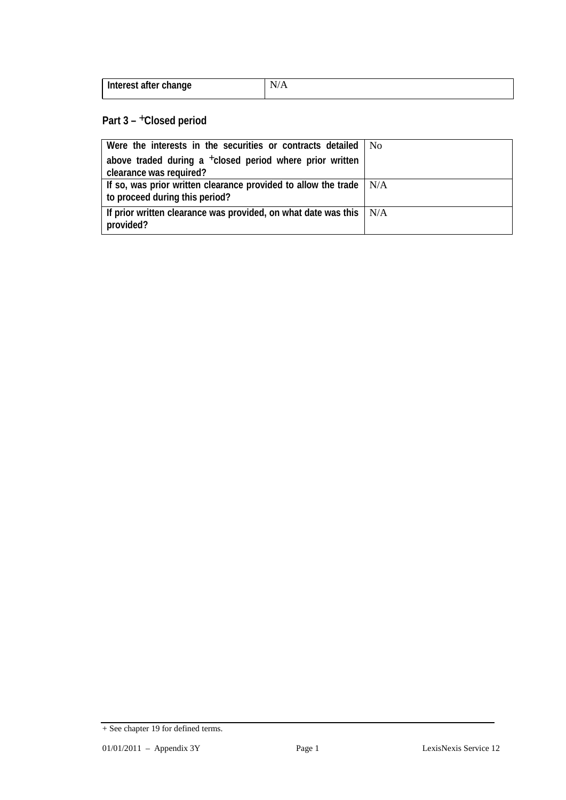| Interest after change | Лъ. |
|-----------------------|-----|
|                       |     |

### **Part 3 –** +**Closed period**

| Were the interests in the securities or contracts detailed   No                                              |  |
|--------------------------------------------------------------------------------------------------------------|--|
| above traded during a <sup>+</sup> closed period where prior written                                         |  |
| clearance was required?                                                                                      |  |
| If so, was prior written clearance provided to allow the trade $\vert$ N/A<br>to proceed during this period? |  |
| If prior written clearance was provided, on what date was this $\mid N/A$<br>provided?                       |  |

<sup>+</sup> See chapter 19 for defined terms.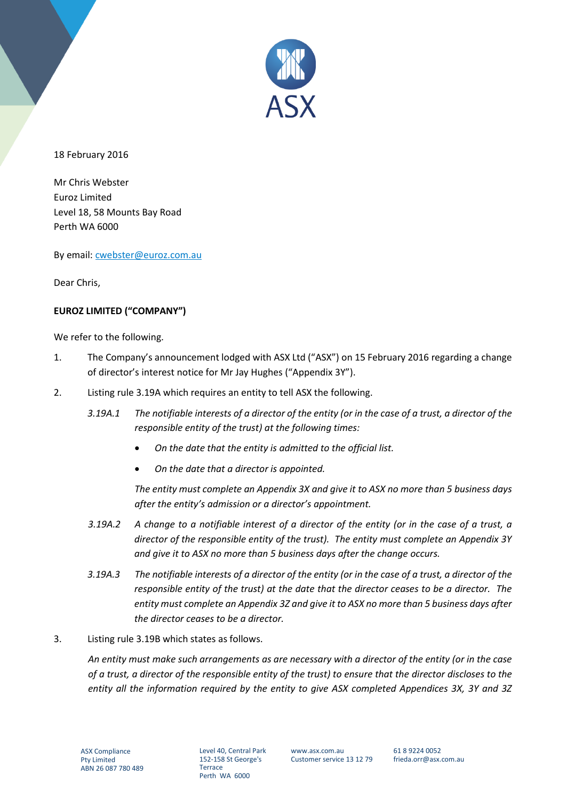

18 February 2016

Mr Chris Webster Euroz Limited Level 18, 58 Mounts Bay Road Perth WA 6000

By email: [cwebster@euroz.com.au](mailto:cwebster@euroz.com.au)

Dear Chris,

#### **EUROZ LIMITED ("COMPANY")**

We refer to the following.

- 1. The Company's announcement lodged with ASX Ltd ("ASX") on 15 February 2016 regarding a change of director's interest notice for Mr Jay Hughes ("Appendix 3Y").
- 2. Listing rule 3.19A which requires an entity to tell ASX the following.
	- *3.19A.1 The notifiable interests of a director of the entity (or in the case of a trust, a director of the responsible entity of the trust) at the following times:*
		- *On the date that the entity is admitted to the official list.*
		- *On the date that a director is appointed.*

*The entity must complete an Appendix 3X and give it to ASX no more than 5 business days after the entity's admission or a director's appointment.* 

- *3.19A.2 A change to a notifiable interest of a director of the entity (or in the case of a trust, a director of the responsible entity of the trust). The entity must complete an Appendix 3Y and give it to ASX no more than 5 business days after the change occurs.*
- *3.19A.3 The notifiable interests of a director of the entity (or in the case of a trust, a director of the responsible entity of the trust) at the date that the director ceases to be a director. The entity must complete an Appendix 3Z and give it to ASX no more than 5 business days after the director ceases to be a director.*
- 3. Listing rule 3.19B which states as follows.

*An entity must make such arrangements as are necessary with a director of the entity (or in the case of a trust, a director of the responsible entity of the trust) to ensure that the director discloses to the entity all the information required by the entity to give ASX completed Appendices 3X, 3Y and 3Z* 

Level 40, Central Park 152-158 St George's **Terrace** Perth WA 6000

www.asx.com.au Customer service 13 12 79 61 8 9224 0052 frieda.orr@asx.com.au